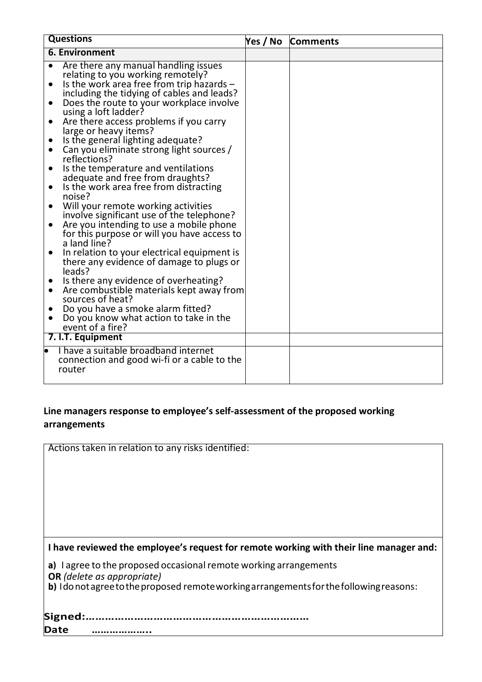| <b>Questions</b>                                                                                                                                                                                                                                                                                                                                                                                                                                                                                                                                                                                                                                                                                                                                                                                                                                                                                                   | Yes / No | <b>Comments</b> |
|--------------------------------------------------------------------------------------------------------------------------------------------------------------------------------------------------------------------------------------------------------------------------------------------------------------------------------------------------------------------------------------------------------------------------------------------------------------------------------------------------------------------------------------------------------------------------------------------------------------------------------------------------------------------------------------------------------------------------------------------------------------------------------------------------------------------------------------------------------------------------------------------------------------------|----------|-----------------|
| <b>6. Environment</b>                                                                                                                                                                                                                                                                                                                                                                                                                                                                                                                                                                                                                                                                                                                                                                                                                                                                                              |          |                 |
| Are there any manual handling issues<br>relating to you working remotely?<br>Is the work area free from trip hazards -<br>$\bullet$<br>including the tidying of cables and leads?<br>Does the route to your workplace involve<br>$\bullet$<br>using a loft ladder?<br>Are there access problems if you carry<br>$\bullet$<br>large or heavy items?<br>Is the general lighting adequate?<br>Can you eliminate strong light sources /<br>reflections?<br>Is the temperature and ventilations<br>$\bullet$<br>adequate and free from draughts?<br>Is the work area free from distracting<br>$\bullet$<br>noise?<br>Will your remote working activities<br>$\bullet$<br>involve significant use of the telephone?<br>Are you intending to use a mobile phone<br>for this purpose or will you have access to<br>a land line?<br>In relation to your electrical equipment is<br>there any evidence of damage to plugs or |          |                 |
| leads?<br>Is there any evidence of overheating?<br>Are combustible materials kept away from<br>sources of heat?<br>Do you have a smoke alarm fitted?<br>Do you know what action to take in the<br>event of a fire?                                                                                                                                                                                                                                                                                                                                                                                                                                                                                                                                                                                                                                                                                                 |          |                 |
| 7. I.T. Equipment                                                                                                                                                                                                                                                                                                                                                                                                                                                                                                                                                                                                                                                                                                                                                                                                                                                                                                  |          |                 |
| I have a suitable broadband internet<br>$\bullet$<br>connection and good wi-fi or a cable to the<br>router                                                                                                                                                                                                                                                                                                                                                                                                                                                                                                                                                                                                                                                                                                                                                                                                         |          |                 |

## **Line managers response to employee's self-assessment of the proposed working arrangements**

| Actions taken in relation to any risks identified:                                       |
|------------------------------------------------------------------------------------------|
|                                                                                          |
|                                                                                          |
|                                                                                          |
|                                                                                          |
|                                                                                          |
|                                                                                          |
|                                                                                          |
| I have reviewed the employee's request for remote working with their line manager and:   |
| a) lagree to the proposed occasional remote working arrangements                         |
| <b>OR</b> (delete as appropriate)                                                        |
| b) I do not agree to the proposed remote working arrangements for the following reasons: |
|                                                                                          |
| Signed:                                                                                  |
| <b>Date</b>                                                                              |